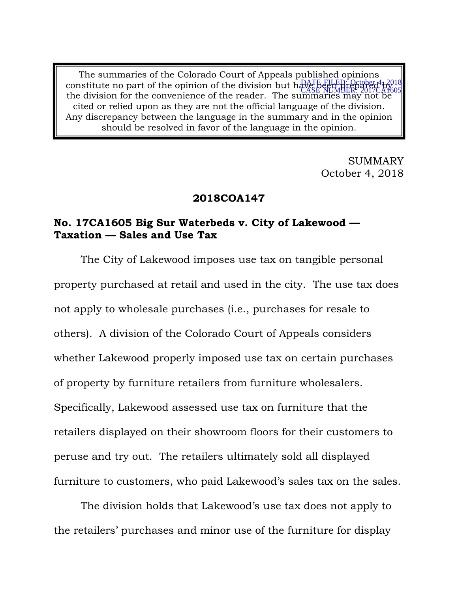The summaries of the Colorado Court of Appeals published opinions constitute no part of the opinion of the division but have been prepared by  $\alpha$ constitute no part of the optimon of the division out in CASE NUMBER: 2017CA1605<br>the division for the convenience of the reader. The summaries may not be cited or relied upon as they are not the official language of the division. Any discrepancy between the language in the summary and in the opinion should be resolved in favor of the language in the opinion.

> SUMMARY October 4, 2018

#### **2018COA147**

## **No. 17CA1605 Big Sur Waterbeds v. City of Lakewood — Taxation — Sales and Use Tax**

The City of Lakewood imposes use tax on tangible personal property purchased at retail and used in the city. The use tax does not apply to wholesale purchases (i.e., purchases for resale to others). A division of the Colorado Court of Appeals considers whether Lakewood properly imposed use tax on certain purchases of property by furniture retailers from furniture wholesalers. Specifically, Lakewood assessed use tax on furniture that the retailers displayed on their showroom floors for their customers to peruse and try out. The retailers ultimately sold all displayed furniture to customers, who paid Lakewood's sales tax on the sales.

The division holds that Lakewood's use tax does not apply to the retailers' purchases and minor use of the furniture for display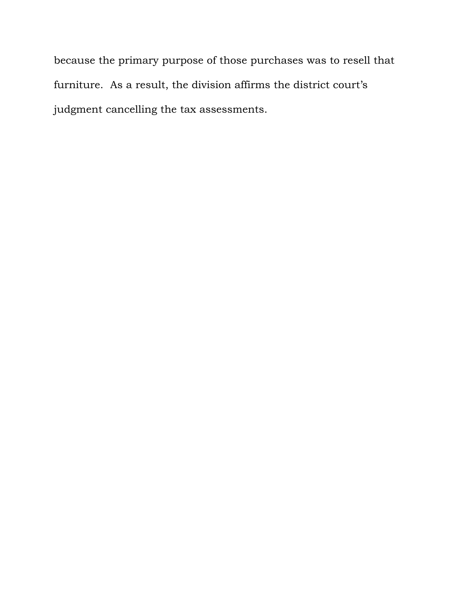because the primary purpose of those purchases was to resell that furniture. As a result, the division affirms the district court's judgment cancelling the tax assessments.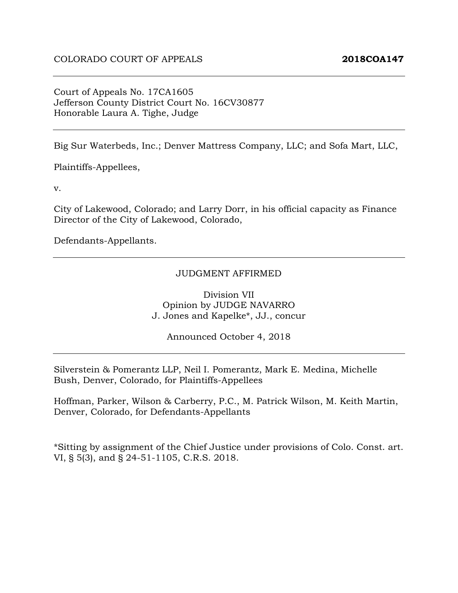#### Court of Appeals No. 17CA1605 Jefferson County District Court No. 16CV30877 Honorable Laura A. Tighe, Judge

Big Sur Waterbeds, Inc.; Denver Mattress Company, LLC; and Sofa Mart, LLC,

Plaintiffs-Appellees,

v.

City of Lakewood, Colorado; and Larry Dorr, in his official capacity as Finance Director of the City of Lakewood, Colorado,

Defendants-Appellants.

#### JUDGMENT AFFIRMED

Division VII Opinion by JUDGE NAVARRO J. Jones and Kapelke\*, JJ., concur

Announced October 4, 2018

Silverstein & Pomerantz LLP, Neil I. Pomerantz, Mark E. Medina, Michelle Bush, Denver, Colorado, for Plaintiffs-Appellees

Hoffman, Parker, Wilson & Carberry, P.C., M. Patrick Wilson, M. Keith Martin, Denver, Colorado, for Defendants-Appellants

\*Sitting by assignment of the Chief Justice under provisions of Colo. Const. art. VI, § 5(3), and § 24-51-1105, C.R.S. 2018.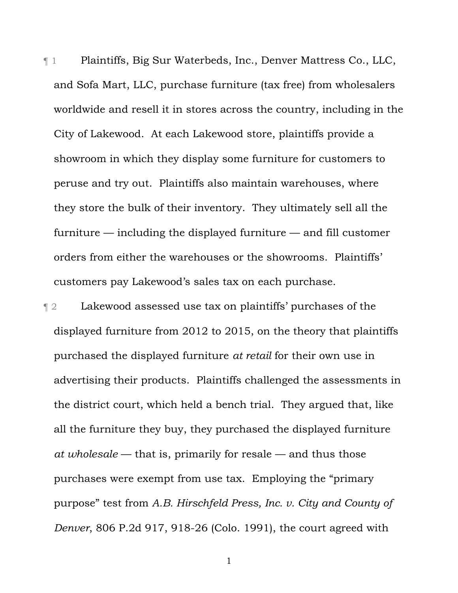¶ 1 Plaintiffs, Big Sur Waterbeds, Inc., Denver Mattress Co., LLC, and Sofa Mart, LLC, purchase furniture (tax free) from wholesalers worldwide and resell it in stores across the country, including in the City of Lakewood. At each Lakewood store, plaintiffs provide a showroom in which they display some furniture for customers to peruse and try out. Plaintiffs also maintain warehouses, where they store the bulk of their inventory. They ultimately sell all the furniture — including the displayed furniture — and fill customer orders from either the warehouses or the showrooms. Plaintiffs' customers pay Lakewood's sales tax on each purchase.

¶ 2 Lakewood assessed use tax on plaintiffs' purchases of the displayed furniture from 2012 to 2015, on the theory that plaintiffs purchased the displayed furniture *at retail* for their own use in advertising their products. Plaintiffs challenged the assessments in the district court, which held a bench trial. They argued that, like all the furniture they buy, they purchased the displayed furniture *at wholesale* — that is, primarily for resale — and thus those purchases were exempt from use tax. Employing the "primary purpose" test from *A.B. Hirschfeld Press, Inc. v. City and County of Denver*, 806 P.2d 917, 918-26 (Colo. 1991), the court agreed with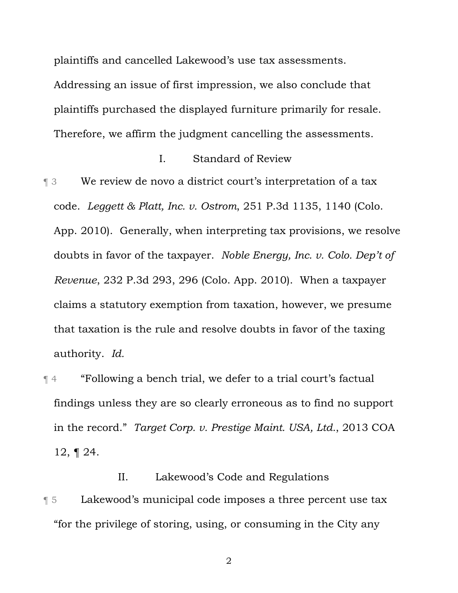plaintiffs and cancelled Lakewood's use tax assessments.

Addressing an issue of first impression, we also conclude that plaintiffs purchased the displayed furniture primarily for resale. Therefore, we affirm the judgment cancelling the assessments.

#### I. Standard of Review

¶ 3 We review de novo a district court's interpretation of a tax code. *Leggett & Platt, Inc. v. Ostrom*, 251 P.3d 1135, 1140 (Colo. App. 2010). Generally, when interpreting tax provisions, we resolve doubts in favor of the taxpayer. *Noble Energy, Inc. v. Colo. Dep't of Revenue*, 232 P.3d 293, 296 (Colo. App. 2010). When a taxpayer claims a statutory exemption from taxation, however, we presume that taxation is the rule and resolve doubts in favor of the taxing authority. *Id.*

¶ 4 "Following a bench trial, we defer to a trial court's factual findings unless they are so clearly erroneous as to find no support in the record." *Target Corp. v. Prestige Maint. USA, Ltd.*, 2013 COA 12, ¶ 24.

II. Lakewood's Code and Regulations **The Stern Exercice is a summid in the set of the U.S. Exerce is a summid vector of the U.S. Exercise 15 Telecome 15 Telecome 15 Telecome 15 Telecome 15 Telecome 15 Telecome 15 Telecome 15 Telecome 15 Telecome 15 Telecome** "for the privilege of storing, using, or consuming in the City any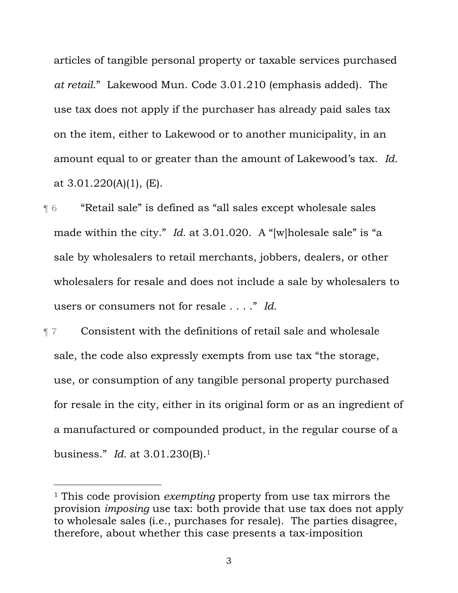articles of tangible personal property or taxable services purchased *at retail*." Lakewood Mun. Code 3.01.210 (emphasis added). The use tax does not apply if the purchaser has already paid sales tax on the item, either to Lakewood or to another municipality, in an amount equal to or greater than the amount of Lakewood's tax. *Id.* at 3.01.220(A)(1), (E).

- ¶ 6 "Retail sale" is defined as "all sales except wholesale sales made within the city." *Id.* at 3.01.020. A "[w]holesale sale" is "a sale by wholesalers to retail merchants, jobbers, dealers, or other wholesalers for resale and does not include a sale by wholesalers to users or consumers not for resale . . . ." *Id.*
- ¶ 7 Consistent with the definitions of retail sale and wholesale sale, the code also expressly exempts from use tax "the storage, use, or consumption of any tangible personal property purchased for resale in the city, either in its original form or as an ingredient of a manufactured or compounded product, in the regular course of a business." *Id.* at 3.01.230(B).1

 $\overline{a}$ 

<sup>1</sup> This code provision *exempting* property from use tax mirrors the provision *imposing* use tax: both provide that use tax does not apply to wholesale sales (i.e., purchases for resale). The parties disagree, therefore, about whether this case presents a tax-imposition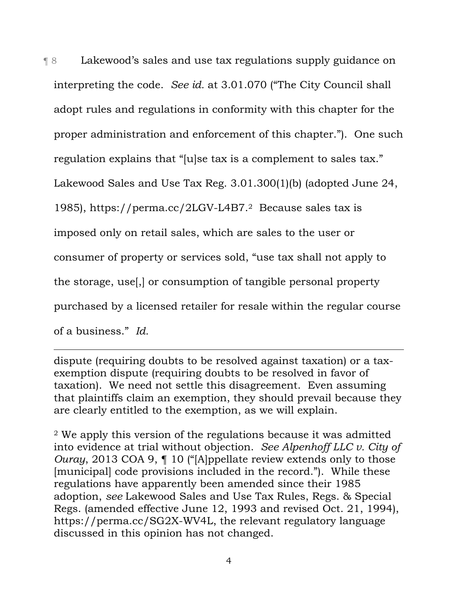¶ 8 Lakewood's sales and use tax regulations supply guidance on interpreting the code. *See id.* at 3.01.070 ("The City Council shall adopt rules and regulations in conformity with this chapter for the proper administration and enforcement of this chapter."). One such regulation explains that "[u]se tax is a complement to sales tax." Lakewood Sales and Use Tax Reg. 3.01.300(1)(b) (adopted June 24, 1985), https://perma.cc/2LGV-L4B7.2 Because sales tax is imposed only on retail sales, which are sales to the user or consumer of property or services sold, "use tax shall not apply to the storage, use[,] or consumption of tangible personal property purchased by a licensed retailer for resale within the regular course of a business." *Id.*

dispute (requiring doubts to be resolved against taxation) or a taxexemption dispute (requiring doubts to be resolved in favor of taxation). We need not settle this disagreement. Even assuming that plaintiffs claim an exemption, they should prevail because they are clearly entitled to the exemption, as we will explain.

-

2 We apply this version of the regulations because it was admitted into evidence at trial without objection. *See Alpenhoff LLC v. City of Ouray*, 2013 COA 9, ¶ 10 ("[A]ppellate review extends only to those [municipal] code provisions included in the record."). While these regulations have apparently been amended since their 1985 adoption, *see* Lakewood Sales and Use Tax Rules, Regs. & Special Regs. (amended effective June 12, 1993 and revised Oct. 21, 1994), https://perma.cc/SG2X-WV4L, the relevant regulatory language discussed in this opinion has not changed.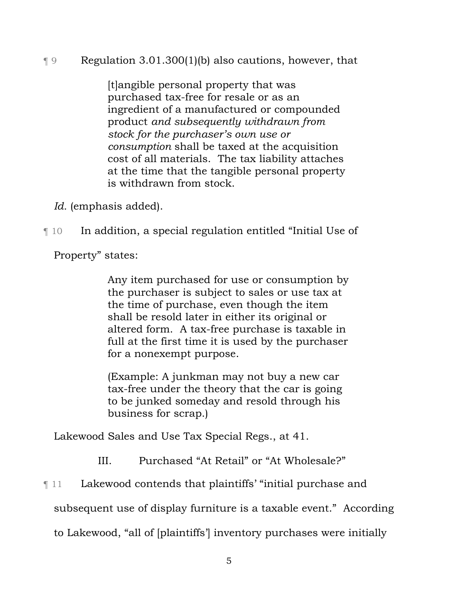# ¶ 9 Regulation 3.01.300(1)(b) also cautions, however, that

[t]angible personal property that was purchased tax-free for resale or as an ingredient of a manufactured or compounded product *and subsequently withdrawn from stock for the purchaser's own use or consumption* shall be taxed at the acquisition cost of all materials. The tax liability attaches at the time that the tangible personal property is withdrawn from stock.

*Id.* (emphasis added).

¶ 10 In addition, a special regulation entitled "Initial Use of

Property" states:

Any item purchased for use or consumption by the purchaser is subject to sales or use tax at the time of purchase, even though the item shall be resold later in either its original or altered form. A tax-free purchase is taxable in full at the first time it is used by the purchaser for a nonexempt purpose.

(Example: A junkman may not buy a new car tax-free under the theory that the car is going to be junked someday and resold through his business for scrap.)

Lakewood Sales and Use Tax Special Regs., at 41.

III. Purchased "At Retail" or "At Wholesale?"

**Term 21 The Lakewood contends that plaintiffs' "initial purchase and** 

subsequent use of display furniture is a taxable event." According

to Lakewood, "all of [plaintiffs'] inventory purchases were initially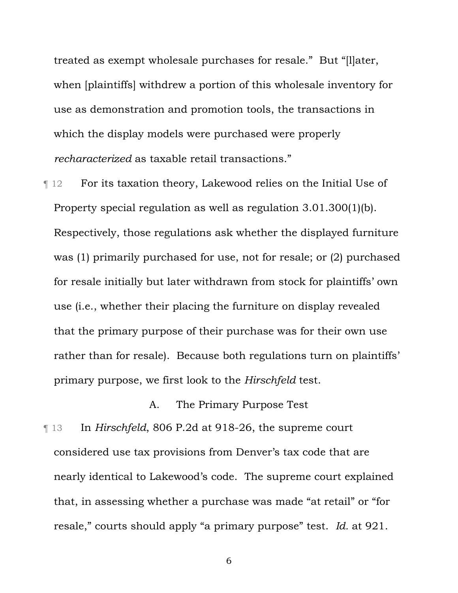treated as exempt wholesale purchases for resale." But "[l]ater, when [plaintiffs] withdrew a portion of this wholesale inventory for use as demonstration and promotion tools, the transactions in which the display models were purchased were properly *recharacterized* as taxable retail transactions."

**Text** For its taxation theory, Lakewood relies on the Initial Use of Property special regulation as well as regulation 3.01.300(1)(b). Respectively, those regulations ask whether the displayed furniture was (1) primarily purchased for use, not for resale; or (2) purchased for resale initially but later withdrawn from stock for plaintiffs' own use (i.e., whether their placing the furniture on display revealed that the primary purpose of their purchase was for their own use rather than for resale). Because both regulations turn on plaintiffs' primary purpose, we first look to the *Hirschfeld* test.

## A. The Primary Purpose Test

¶ 13 In *Hirschfeld*, 806 P.2d at 918-26, the supreme court considered use tax provisions from Denver's tax code that are nearly identical to Lakewood's code. The supreme court explained that, in assessing whether a purchase was made "at retail" or "for resale," courts should apply "a primary purpose" test. *Id.* at 921.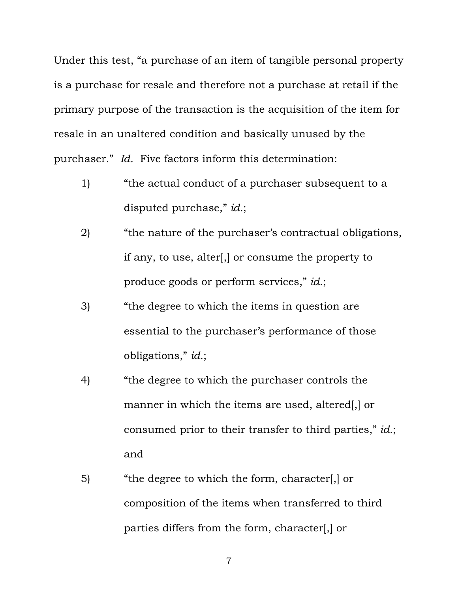Under this test, "a purchase of an item of tangible personal property is a purchase for resale and therefore not a purchase at retail if the primary purpose of the transaction is the acquisition of the item for resale in an unaltered condition and basically unused by the purchaser." *Id.* Five factors inform this determination:

- 1) "the actual conduct of a purchaser subsequent to a disputed purchase," *id.*;
- 2) "the nature of the purchaser's contractual obligations, if any, to use, alter[,] or consume the property to produce goods or perform services," *id.*;
- 3) "the degree to which the items in question are essential to the purchaser's performance of those obligations," *id.*;
- 4) "the degree to which the purchaser controls the manner in which the items are used, altered[,] or consumed prior to their transfer to third parties," *id.*; and
- 5) "the degree to which the form, character[,] or composition of the items when transferred to third parties differs from the form, character[,] or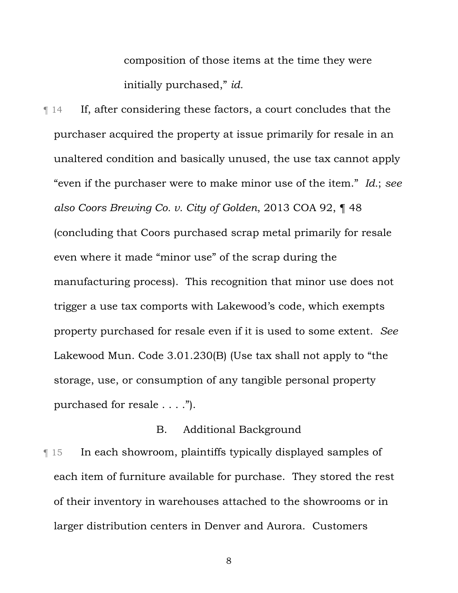composition of those items at the time they were initially purchased," *id.*

¶ 14 If, after considering these factors, a court concludes that the purchaser acquired the property at issue primarily for resale in an unaltered condition and basically unused, the use tax cannot apply "even if the purchaser were to make minor use of the item." *Id.*; *see also Coors Brewing Co. v. City of Golden*, 2013 COA 92, ¶ 48 (concluding that Coors purchased scrap metal primarily for resale even where it made "minor use" of the scrap during the manufacturing process). This recognition that minor use does not trigger a use tax comports with Lakewood's code, which exempts property purchased for resale even if it is used to some extent. *See* Lakewood Mun. Code 3.01.230(B) (Use tax shall not apply to "the storage, use, or consumption of any tangible personal property purchased for resale . . . .").

## B. Additional Background

¶ 15 In each showroom, plaintiffs typically displayed samples of each item of furniture available for purchase. They stored the rest of their inventory in warehouses attached to the showrooms or in larger distribution centers in Denver and Aurora. Customers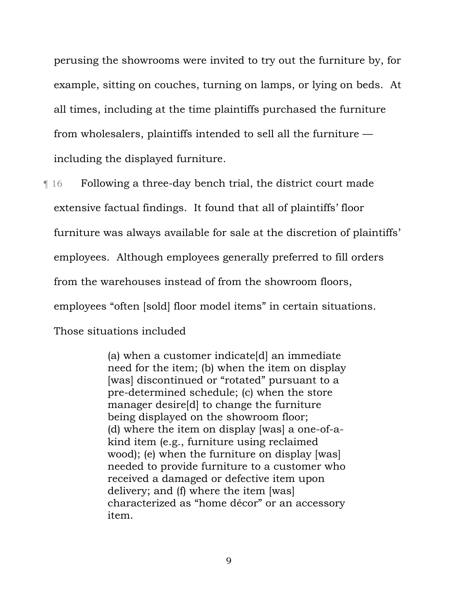perusing the showrooms were invited to try out the furniture by, for example, sitting on couches, turning on lamps, or lying on beds. At all times, including at the time plaintiffs purchased the furniture from wholesalers, plaintiffs intended to sell all the furniture including the displayed furniture.

¶ 16 Following a three-day bench trial, the district court made extensive factual findings. It found that all of plaintiffs' floor furniture was always available for sale at the discretion of plaintiffs' employees. Although employees generally preferred to fill orders from the warehouses instead of from the showroom floors, employees "often [sold] floor model items" in certain situations. Those situations included

> (a) when a customer indicate[d] an immediate need for the item; (b) when the item on display [was] discontinued or "rotated" pursuant to a pre-determined schedule; (c) when the store manager desire[d] to change the furniture being displayed on the showroom floor; (d) where the item on display [was] a one-of-akind item (e.g., furniture using reclaimed wood); (e) when the furniture on display [was] needed to provide furniture to a customer who received a damaged or defective item upon delivery; and (f) where the item [was] characterized as "home décor" or an accessory item.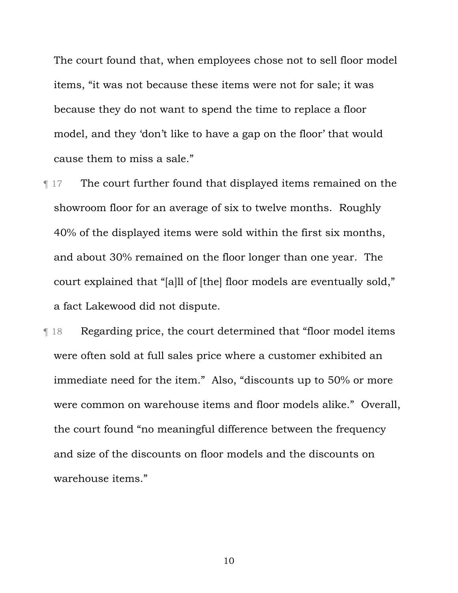The court found that, when employees chose not to sell floor model items, "it was not because these items were not for sale; it was because they do not want to spend the time to replace a floor model, and they 'don't like to have a gap on the floor' that would cause them to miss a sale."

- **The court further found that displayed items remained on the** showroom floor for an average of six to twelve months. Roughly 40% of the displayed items were sold within the first six months, and about 30% remained on the floor longer than one year. The court explained that "[a]ll of [the] floor models are eventually sold," a fact Lakewood did not dispute.
- ¶ 18 Regarding price, the court determined that "floor model items were often sold at full sales price where a customer exhibited an immediate need for the item." Also, "discounts up to 50% or more were common on warehouse items and floor models alike." Overall, the court found "no meaningful difference between the frequency and size of the discounts on floor models and the discounts on warehouse items."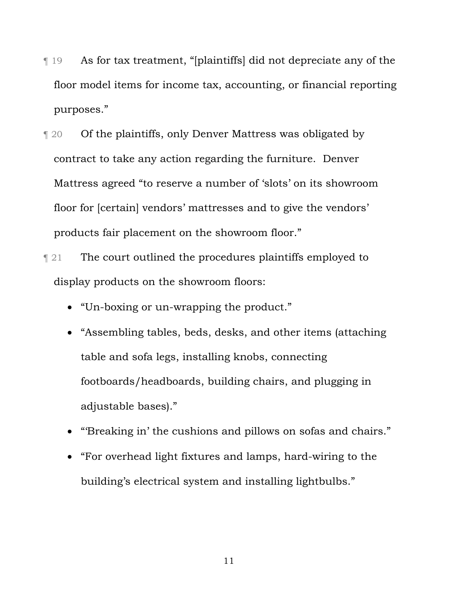- ¶ 19 As for tax treatment, "[plaintiffs] did not depreciate any of the floor model items for income tax, accounting, or financial reporting purposes."
- ¶ 20 Of the plaintiffs, only Denver Mattress was obligated by contract to take any action regarding the furniture. Denver Mattress agreed "to reserve a number of 'slots' on its showroom floor for [certain] vendors' mattresses and to give the vendors' products fair placement on the showroom floor."
- **The court outlined the procedures plaintiffs employed to** display products on the showroom floors:
	- "Un-boxing or un-wrapping the product."
	- "Assembling tables, beds, desks, and other items (attaching table and sofa legs, installing knobs, connecting footboards/headboards, building chairs, and plugging in adjustable bases)."
	- "'Breaking in' the cushions and pillows on sofas and chairs."
	- "For overhead light fixtures and lamps, hard-wiring to the building's electrical system and installing lightbulbs."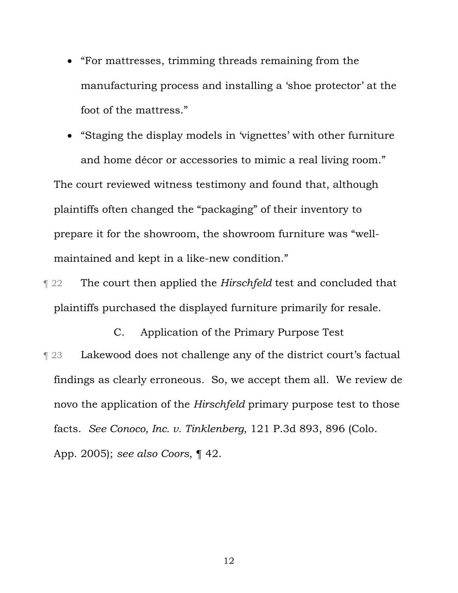"For mattresses, trimming threads remaining from the manufacturing process and installing a 'shoe protector' at the foot of the mattress."

 "Staging the display models in 'vignettes' with other furniture and home décor or accessories to mimic a real living room." The court reviewed witness testimony and found that, although plaintiffs often changed the "packaging" of their inventory to prepare it for the showroom, the showroom furniture was "wellmaintained and kept in a like-new condition."

**The court then applied the** *Hirschfeld* test and concluded that plaintiffs purchased the displayed furniture primarily for resale.

C. Application of the Primary Purpose Test ¶ 23 Lakewood does not challenge any of the district court's factual findings as clearly erroneous. So, we accept them all. We review de novo the application of the *Hirschfeld* primary purpose test to those facts. *See Conoco, Inc. v. Tinklenberg*, 121 P.3d 893, 896 (Colo. App. 2005); *see also Coors*, ¶ 42.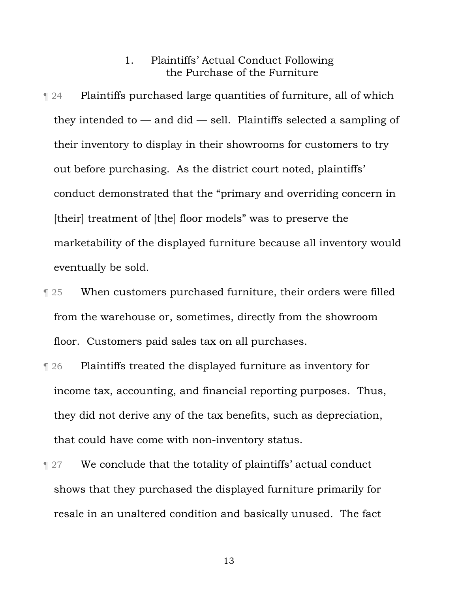### 1. Plaintiffs' Actual Conduct Following the Purchase of the Furniture

- ¶ 24 Plaintiffs purchased large quantities of furniture, all of which they intended to  $-$  and did  $-$  sell. Plaintiffs selected a sampling of their inventory to display in their showrooms for customers to try out before purchasing. As the district court noted, plaintiffs' conduct demonstrated that the "primary and overriding concern in [their] treatment of [the] floor models" was to preserve the marketability of the displayed furniture because all inventory would eventually be sold.
- **Term 25** When customers purchased furniture, their orders were filled from the warehouse or, sometimes, directly from the showroom floor. Customers paid sales tax on all purchases.
- ¶ 26 Plaintiffs treated the displayed furniture as inventory for income tax, accounting, and financial reporting purposes. Thus, they did not derive any of the tax benefits, such as depreciation, that could have come with non-inventory status.
- **Term 27** We conclude that the totality of plaintiffs' actual conduct shows that they purchased the displayed furniture primarily for resale in an unaltered condition and basically unused. The fact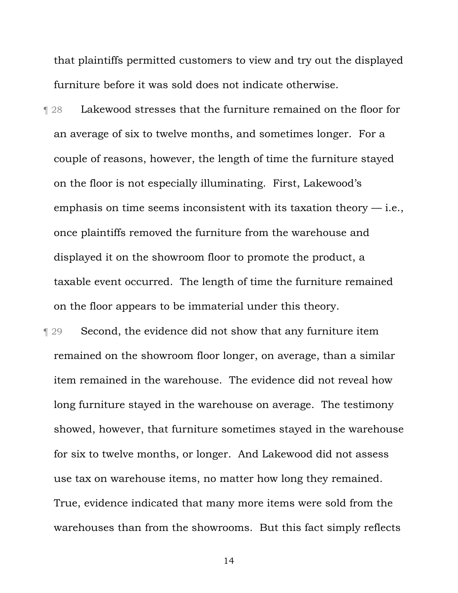that plaintiffs permitted customers to view and try out the displayed furniture before it was sold does not indicate otherwise.

¶ 28 Lakewood stresses that the furniture remained on the floor for an average of six to twelve months, and sometimes longer. For a couple of reasons, however, the length of time the furniture stayed on the floor is not especially illuminating. First, Lakewood's emphasis on time seems inconsistent with its taxation theory  $-$  i.e., once plaintiffs removed the furniture from the warehouse and displayed it on the showroom floor to promote the product, a taxable event occurred. The length of time the furniture remained on the floor appears to be immaterial under this theory.

¶ 29 Second, the evidence did not show that any furniture item remained on the showroom floor longer, on average, than a similar item remained in the warehouse. The evidence did not reveal how long furniture stayed in the warehouse on average. The testimony showed, however, that furniture sometimes stayed in the warehouse for six to twelve months, or longer. And Lakewood did not assess use tax on warehouse items, no matter how long they remained. True, evidence indicated that many more items were sold from the warehouses than from the showrooms. But this fact simply reflects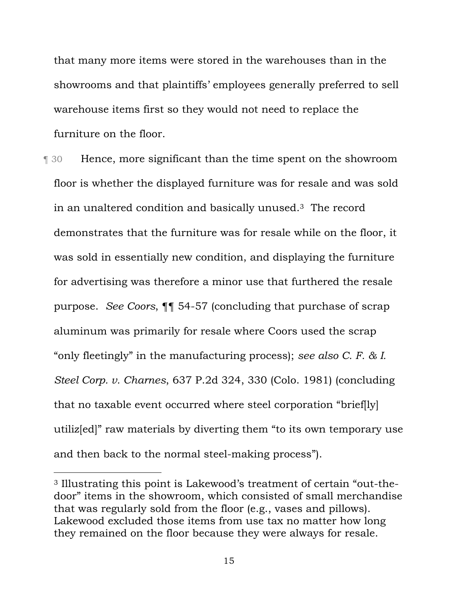that many more items were stored in the warehouses than in the showrooms and that plaintiffs' employees generally preferred to sell warehouse items first so they would not need to replace the furniture on the floor.

¶ 30 Hence, more significant than the time spent on the showroom floor is whether the displayed furniture was for resale and was sold in an unaltered condition and basically unused.3 The record demonstrates that the furniture was for resale while on the floor, it was sold in essentially new condition, and displaying the furniture for advertising was therefore a minor use that furthered the resale purpose. *See Coors*, ¶¶ 54-57 (concluding that purchase of scrap aluminum was primarily for resale where Coors used the scrap "only fleetingly" in the manufacturing process); *see also C. F. & I. Steel Corp. v. Charnes*, 637 P.2d 324, 330 (Colo. 1981) (concluding that no taxable event occurred where steel corporation "brief[ly] utiliz[ed]" raw materials by diverting them "to its own temporary use and then back to the normal steel-making process").

l

<sup>3</sup> Illustrating this point is Lakewood's treatment of certain "out-thedoor" items in the showroom, which consisted of small merchandise that was regularly sold from the floor (e.g., vases and pillows). Lakewood excluded those items from use tax no matter how long they remained on the floor because they were always for resale.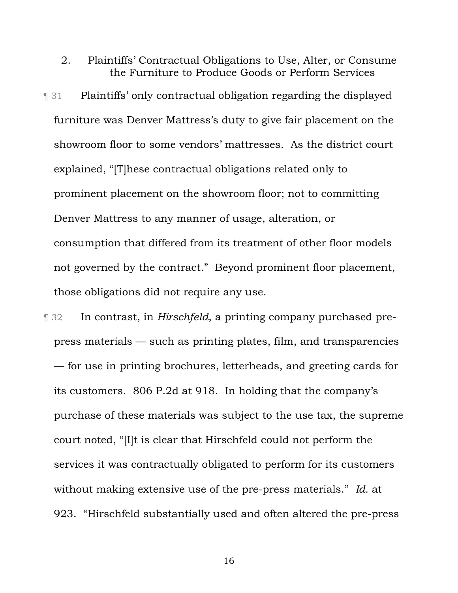2. Plaintiffs' Contractual Obligations to Use, Alter, or Consume the Furniture to Produce Goods or Perform Services

¶ 31 Plaintiffs' only contractual obligation regarding the displayed furniture was Denver Mattress's duty to give fair placement on the showroom floor to some vendors' mattresses. As the district court explained, "[T]hese contractual obligations related only to prominent placement on the showroom floor; not to committing Denver Mattress to any manner of usage, alteration, or consumption that differed from its treatment of other floor models not governed by the contract." Beyond prominent floor placement, those obligations did not require any use.

¶ 32 In contrast, in *Hirschfeld*, a printing company purchased prepress materials — such as printing plates, film, and transparencies — for use in printing brochures, letterheads, and greeting cards for its customers. 806 P.2d at 918. In holding that the company's purchase of these materials was subject to the use tax, the supreme court noted, "[I]t is clear that Hirschfeld could not perform the services it was contractually obligated to perform for its customers without making extensive use of the pre-press materials." *Id.* at 923. "Hirschfeld substantially used and often altered the pre-press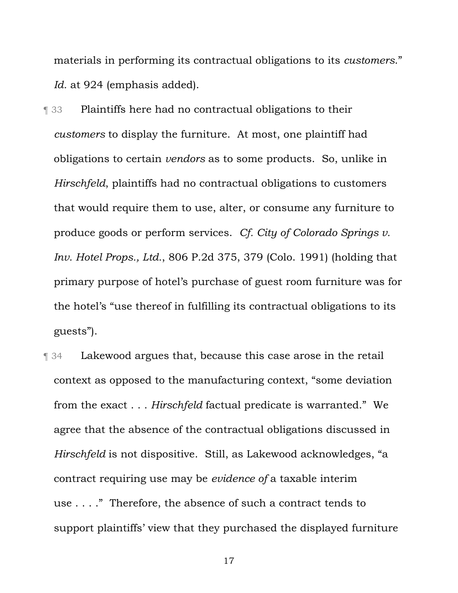materials in performing its contractual obligations to its *customers*." *Id.* at 924 (emphasis added).

**The 33** Plaintiffs here had no contractual obligations to their *customers* to display the furniture. At most, one plaintiff had obligations to certain *vendors* as to some products. So, unlike in *Hirschfeld*, plaintiffs had no contractual obligations to customers that would require them to use, alter, or consume any furniture to produce goods or perform services. *Cf. City of Colorado Springs v. Inv. Hotel Props., Ltd.*, 806 P.2d 375, 379 (Colo. 1991) (holding that primary purpose of hotel's purchase of guest room furniture was for the hotel's "use thereof in fulfilling its contractual obligations to its guests").

¶ 34 Lakewood argues that, because this case arose in the retail context as opposed to the manufacturing context, "some deviation from the exact . . . *Hirschfeld* factual predicate is warranted." We agree that the absence of the contractual obligations discussed in *Hirschfeld* is not dispositive. Still, as Lakewood acknowledges, "a contract requiring use may be *evidence of* a taxable interim use . . . ." Therefore, the absence of such a contract tends to support plaintiffs' view that they purchased the displayed furniture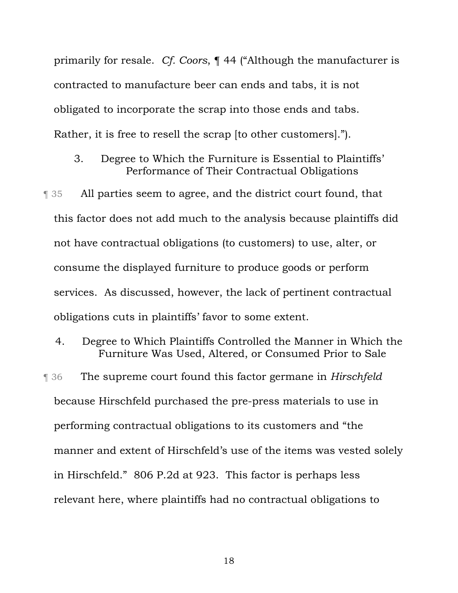primarily for resale. *Cf. Coors*, ¶ 44 ("Although the manufacturer is contracted to manufacture beer can ends and tabs, it is not obligated to incorporate the scrap into those ends and tabs. Rather, it is free to resell the scrap [to other customers].").

- 3. Degree to Which the Furniture is Essential to Plaintiffs' Performance of Their Contractual Obligations
- ¶ 35 All parties seem to agree, and the district court found, that this factor does not add much to the analysis because plaintiffs did not have contractual obligations (to customers) to use, alter, or consume the displayed furniture to produce goods or perform services. As discussed, however, the lack of pertinent contractual obligations cuts in plaintiffs' favor to some extent.
- 4. Degree to Which Plaintiffs Controlled the Manner in Which the Furniture Was Used, Altered, or Consumed Prior to Sale ¶ 36 The supreme court found this factor germane in *Hirschfeld* because Hirschfeld purchased the pre-press materials to use in performing contractual obligations to its customers and "the manner and extent of Hirschfeld's use of the items was vested solely in Hirschfeld." 806 P.2d at 923. This factor is perhaps less relevant here, where plaintiffs had no contractual obligations to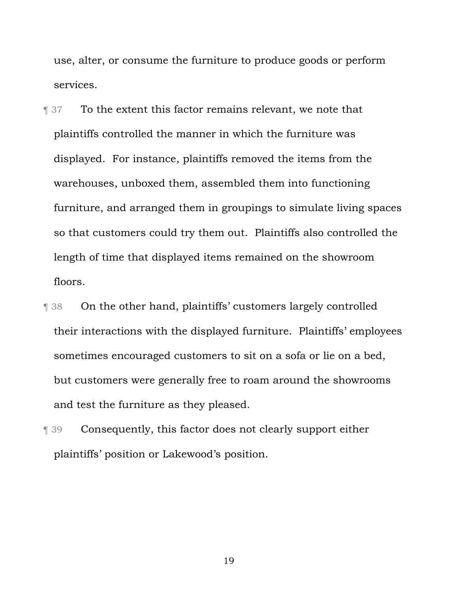use, alter, or consume the furniture to produce goods or perform services.

**The France Strutus** To the extent this factor remains relevant, we note that plaintiffs controlled the manner in which the furniture was displayed. For instance, plaintiffs removed the items from the warehouses, unboxed them, assembled them into functioning furniture, and arranged them in groupings to simulate living spaces so that customers could try them out. Plaintiffs also controlled the length of time that displayed items remained on the showroom floors.

- ¶ 38 On the other hand, plaintiffs' customers largely controlled their interactions with the displayed furniture. Plaintiffs' employees sometimes encouraged customers to sit on a sofa or lie on a bed, but customers were generally free to roam around the showrooms and test the furniture as they pleased.
- ¶ 39 Consequently, this factor does not clearly support either plaintiffs' position or Lakewood's position.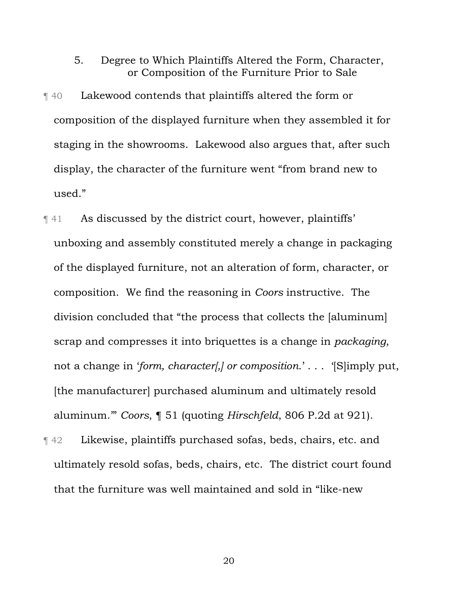- 5. Degree to Which Plaintiffs Altered the Form, Character, or Composition of the Furniture Prior to Sale
- ¶ 40 Lakewood contends that plaintiffs altered the form or composition of the displayed furniture when they assembled it for staging in the showrooms. Lakewood also argues that, after such display, the character of the furniture went "from brand new to used."
- ¶ 41 As discussed by the district court, however, plaintiffs' unboxing and assembly constituted merely a change in packaging of the displayed furniture, not an alteration of form, character, or composition. We find the reasoning in *Coors* instructive. The division concluded that "the process that collects the [aluminum] scrap and compresses it into briquettes is a change in *packaging*, not a change in '*form, character[,] or composition*.' . . . '[S]imply put, [the manufacturer] purchased aluminum and ultimately resold aluminum.'" *Coors*, ¶ 51 (quoting *Hirschfeld*, 806 P.2d at 921).
- ¶ 42 Likewise, plaintiffs purchased sofas, beds, chairs, etc. and ultimately resold sofas, beds, chairs, etc. The district court found that the furniture was well maintained and sold in "like-new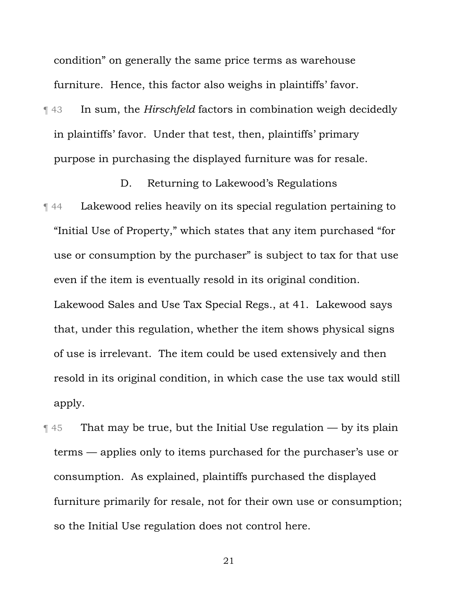condition" on generally the same price terms as warehouse furniture. Hence, this factor also weighs in plaintiffs' favor.

¶ 43 In sum, the *Hirschfeld* factors in combination weigh decidedly in plaintiffs' favor. Under that test, then, plaintiffs' primary purpose in purchasing the displayed furniture was for resale.

D. Returning to Lakewood's Regulations

- ¶ 44 Lakewood relies heavily on its special regulation pertaining to "Initial Use of Property," which states that any item purchased "for use or consumption by the purchaser" is subject to tax for that use even if the item is eventually resold in its original condition. Lakewood Sales and Use Tax Special Regs., at 41. Lakewood says that, under this regulation, whether the item shows physical signs of use is irrelevant. The item could be used extensively and then resold in its original condition, in which case the use tax would still apply.
- **That may be true, but the Initial Use regulation by its plain** terms — applies only to items purchased for the purchaser's use or consumption. As explained, plaintiffs purchased the displayed furniture primarily for resale, not for their own use or consumption; so the Initial Use regulation does not control here.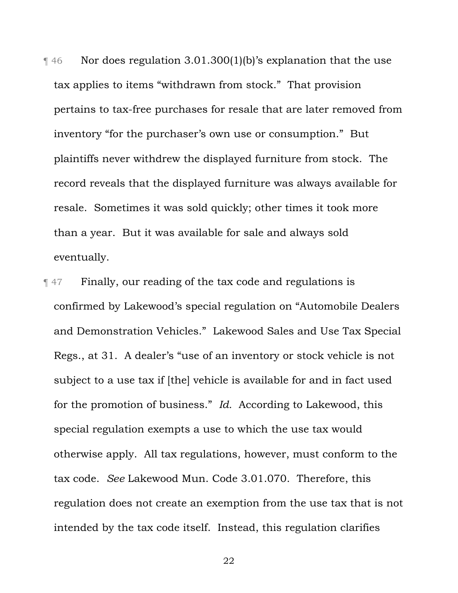$\parallel$  46 Nor does regulation 3.01.300(1)(b)'s explanation that the use tax applies to items "withdrawn from stock." That provision pertains to tax-free purchases for resale that are later removed from inventory "for the purchaser's own use or consumption." But plaintiffs never withdrew the displayed furniture from stock. The record reveals that the displayed furniture was always available for resale. Sometimes it was sold quickly; other times it took more than a year. But it was available for sale and always sold eventually.

¶ 47 Finally, our reading of the tax code and regulations is confirmed by Lakewood's special regulation on "Automobile Dealers and Demonstration Vehicles." Lakewood Sales and Use Tax Special Regs., at 31. A dealer's "use of an inventory or stock vehicle is not subject to a use tax if [the] vehicle is available for and in fact used for the promotion of business." *Id.* According to Lakewood, this special regulation exempts a use to which the use tax would otherwise apply. All tax regulations, however, must conform to the tax code. *See* Lakewood Mun. Code 3.01.070. Therefore, this regulation does not create an exemption from the use tax that is not intended by the tax code itself. Instead, this regulation clarifies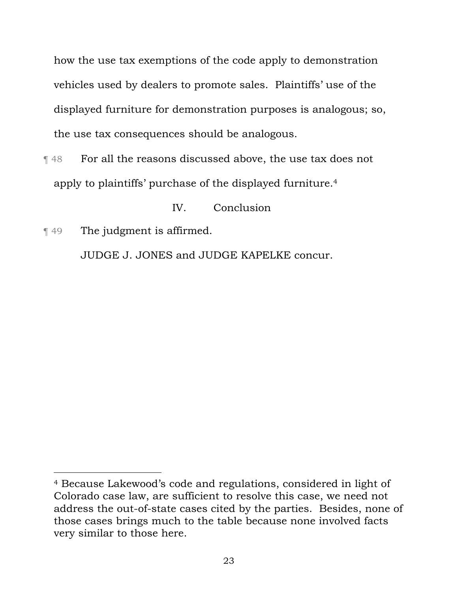how the use tax exemptions of the code apply to demonstration vehicles used by dealers to promote sales. Plaintiffs' use of the displayed furniture for demonstration purposes is analogous; so, the use tax consequences should be analogous.

¶ 48 For all the reasons discussed above, the use tax does not apply to plaintiffs' purchase of the displayed furniture.4

IV. Conclusion

¶ 49 The judgment is affirmed.

l

JUDGE J. JONES and JUDGE KAPELKE concur.

<sup>4</sup> Because Lakewood's code and regulations, considered in light of Colorado case law, are sufficient to resolve this case, we need not address the out-of-state cases cited by the parties. Besides, none of those cases brings much to the table because none involved facts very similar to those here.